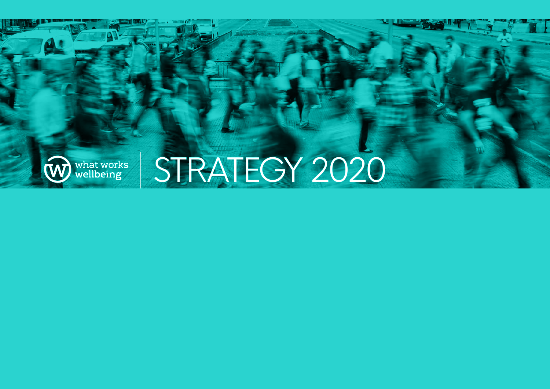

STRATEGY 2020

 **WHAT WE LEAD TO MEET A WARRANT WELLBEING WELLBEING WELLBEING**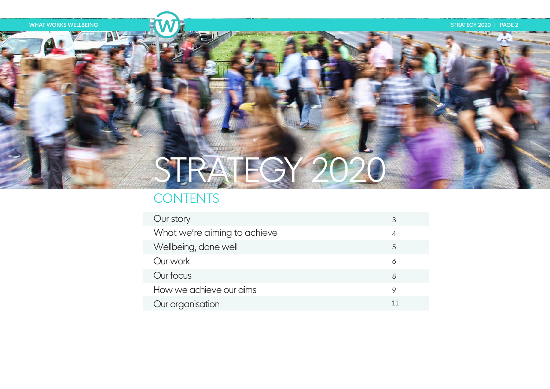# STRATEGY 2020

# **CONTENTS**

| Our story                    | 3  |
|------------------------------|----|
| What we're aiming to achieve | 4  |
| Wellbeing, done well         | 5  |
| Our work                     | 6  |
| Our focus                    | 8  |
| How we achieve our aims      | 9  |
| Our organisation             | 11 |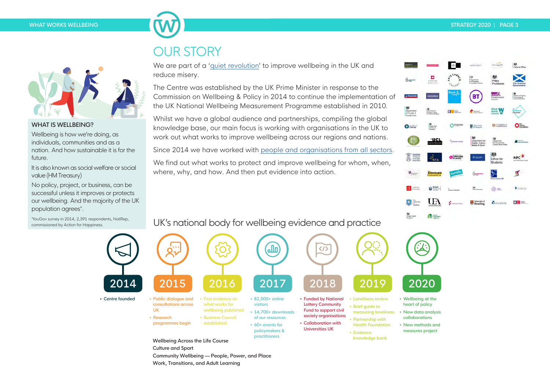

#### WHAT IS WELLBEING?

Wellbeing is how we're doing, as individuals, communities and as a nation. And how sustainable it is for the future

It is also known as social welfare or social value (HM Treasury)

No policy, project, or business, can be successful unless it improves or protects our wellbeing. And the majority of the UK population agrees\*.

\*YouGov survey in 2014, 2,391 respondents, NatRep, commissioned by Action for Happiness.

# OUR STORY

Work, Transitions, and Adult Learning

We are part of a 'quiet revolution' to improve wellbeing in the UK and reduce misery.

The Centre was established by the UK Prime Minister in response to the Commission on Wellbeing & Policy in 2014 to continue the implementation of the UK National Wellbeing Measurement Programme established in 2010.

Whilst we have a global audience and partnerships, compiling the global knowledge base, our main focus is working with organisations in the UK to work out what works to improve wellbeing across our regions and nations.

Since 2014 we have worked with people and organisations from all sectors.

We find out what works to protect and improve wellbeing for whom, when, where, why, and how. And then put evidence into action.



# UK's national body for wellbeing evidence and practice

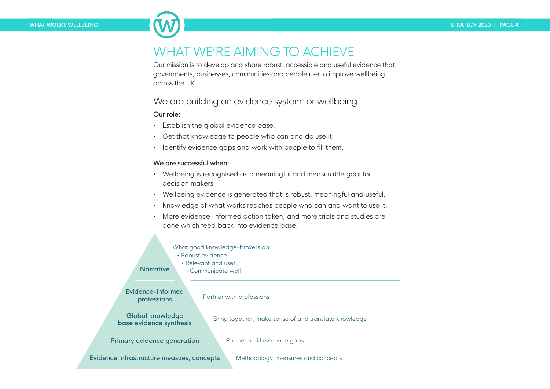# WHAT WE'RE AIMING TO ACHIEVE

Our mission is to develop and share robust, accessible and useful evidence that governments, businesses, communities and people use to improve wellbeing across the UK.

### We are building an evidence system for wellbeing

#### Our role:

- Establish the global evidence base.
- Get that knowledge to people who can and do use it.
- Identify evidence gaps and work with people to fill them.

#### We are successful when:

- Wellbeing is recognised as a meaningful and measurable goal for decision makers.
- Wellbeing evidence is generated that is robust, meaningful and useful.
- Knowledge of what works reaches people who can and want to use it.
- More evidence-informed action taken, and more trials and studies are done which feed back into evidence base.

#### What good knowledge-brokers do:

- Robust evidence
	- Relevant and useful

**Narrative** • Communicate well

Evidence-informed professions

#### Partner with professions

Global knowledge base evidence synthesis

Bring together, make sense of and translate knowledge

Primary evidence generation

Partner to fill evidence gaps

Evidence infrastructure measues, concepts

Methodology, measures and concepts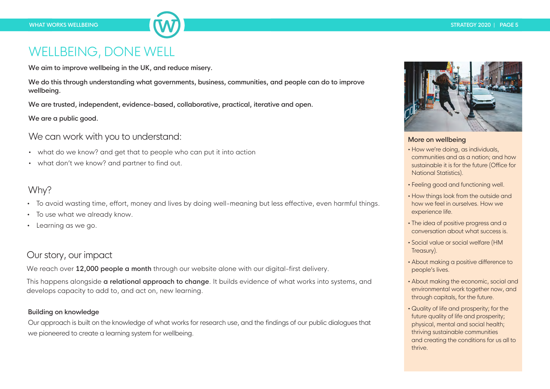# WELLBEING, DONE WELL

We aim to improve wellbeing in the UK, and reduce misery.

We do this through understanding what governments, business, communities, and people can do to improve wellbeing.

We are trusted, independent, evidence-based, collaborative, practical, iterative and open.

We are a public good.

We can work with you to understand:

- what do we know? and get that to people who can put it into action
- what don't we know? and partner to find out.

### Why?

- To avoid wasting time, effort, money and lives by doing well-meaning but less effective, even harmful things.
- To use what we already know.
- Learning as we go.

# Our story, our impact

We reach over 12,000 people a month through our website alone with our digital-first delivery.

This happens alongside **a relational approach to change**. It builds evidence of what works into systems, and develops capacity to add to, and act on, new learning.

#### Building on knowledge

Our approach is built on the knowledge of what works for research use, and the findings of our public dialogues that we pioneered to create a learning system for wellbeing.



#### More on wellbeing

- How we're doing, as individuals, communities and as a nation; and how sustainable it is for the future (Office for National Statistics).
- Feeling good and functioning well.
- How things look from the outside and how we feel in ourselves. How we experience life.
- The idea of positive progress and a conversation about what success is.
- Social value or social welfare (HM Treasury).
- About making a positive difference to people's lives.
- About making the economic, social and environmental work together now, and through capitals, for the future.
- Quality of life and prosperity; for the future quality of life and prosperity; physical, mental and social health; thriving sustainable communities and creating the conditions for us all to thrive.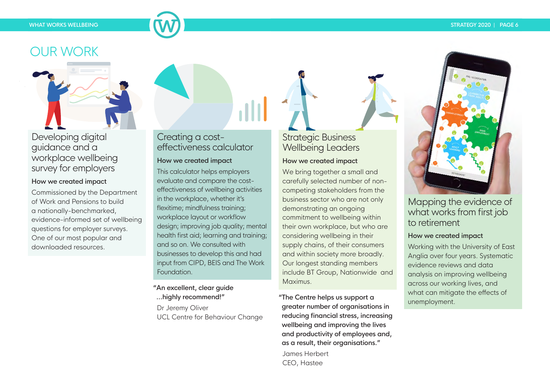#### **WHAT WORKS WELLBEING STRATEGY 2020 | PAGE 6**

# OUR WORK



### Developing digital guidance and a workplace wellbeing survey for employers

#### How we created impact

Commissioned by the Department of Work and Pensions to build a nationally-benchmarked, evidence-informed set of wellbeing questions for employer surveys. One of our most popular and downloaded resources.

# Creating a costeffectiveness calculator

#### How we created impact

This calculator helps employers evaluate and compare the costeffectiveness of wellbeing activities in the workplace, whether it's flexitime; mindfulness training; workplace layout or workflow design; improving job quality; mental health first aid; learning and training; and so on. We consulted with businesses to develop this and had input from CIPD, BEIS and The Work **Foundation** 

"An excellent, clear guide ...highly recommend!"

 Dr Jeremy Oliver UCL Centre for Behaviour Change

# Strategic Business Wellbeing Leaders

#### How we created impact

We bring together a small and carefully selected number of noncompeting stakeholders from the business sector who are not only demonstrating an ongoing commitment to wellbeing within their own workplace, but who are considering wellbeing in their supply chains, of their consumers and within society more broadly. Our longest standing members include BT Group, Nationwide and Maximus.

"The Centre helps us support a greater number of organisations in reducing financial stress, increasing wellbeing and improving the lives and productivity of employees and, as a result, their organisations." James Herbert

CEO, Hastee



### Mapping the evidence of what works from first job to retirement

#### How we created impact

Working with the University of East Anglia over four years. Systematic evidence reviews and data analysis on improving wellbeing across our working lives, and what can mitigate the effects of unemployment.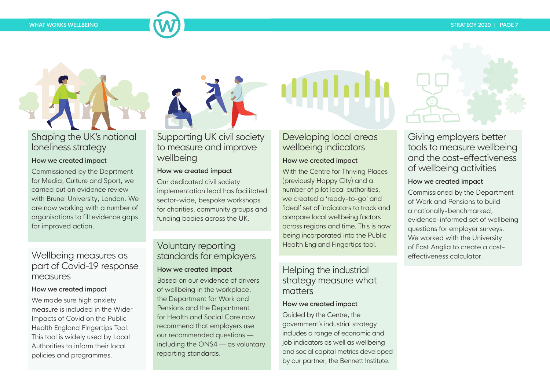# Shaping the UK's national loneliness strategy

#### How we created impact

Commissioned by the Deprtment for Media, Culture and Sport, we carried out an evidence review with Brunel University, London. We are now working with a number of organisations to fill evidence gaps for improved action.

### Wellbeing measures as part of Covid-19 response measures

#### How we created impact

We made sure high anxiety measure is included in the Wider Impacts of Covid on the Public Health England Fingertips Tool. This tool is widely used by Local Authorities to inform their local policies and programmes.

# Supporting UK civil society to measure and improve wellbeing

#### How we created impact

Our dedicated civil society implementation lead has facilitated sector-wide, bespoke workshops for charities, community groups and funding bodies across the UK.

# Voluntary reporting standards for employers

### How we created impact

Based on our evidence of drivers of wellbeing in the workplace, the Department for Work and Pensions and the Department for Health and Social Care now recommend that employers use our recommended questions including the ONS4 — as voluntary reporting standards.

# Developing local areas wellbeing indicators

#### How we created impact

With the Centre for Thriving Places (previously Happy City) and a number of pilot local authorities, we created a 'ready-to-go' and 'ideal' set of indicators to track and compare local wellbeing factors across regions and time. This is now being incorporated into the Public Health England Fingertips tool.

### Helping the industrial strategy measure what matters

#### How we created impact

Guided by the Centre, the government's industrial strategy includes a range of economic and job indicators as well as wellbeing and social capital metrics developed by our partner, the Bennett Institute.

Giving employers better tools to measure wellbeing and the cost-effectiveness of wellbeing activities

#### How we created impact

Commissioned by the Department of Work and Pensions to build a nationally-benchmarked, evidence-informed set of wellbeing questions for employer surveys. We worked with the University of East Anglia to create a costeffectiveness calculator.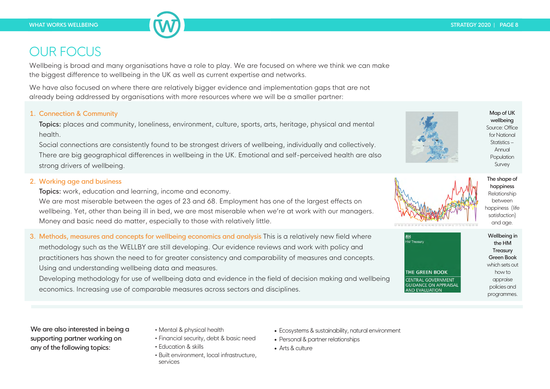# OUR FOCUS

Wellbeing is broad and many organisations have a role to play. We are focused on where we think we can make the biggest difference to wellbeing in the UK as well as current expertise and networks.

We have also focused on where there are relatively bigger evidence and implementation gaps that are not already being addressed by organisations with more resources where we will be a smaller partner:

#### 1. Connection & Community

Topics: places and community, loneliness, environment, culture, sports, arts, heritage, physical and mental health.

Social connections are consistently found to be strongest drivers of wellbeing, individually and collectively. There are big geographical differences in wellbeing in the UK. Emotional and self-perceived health are also strong drivers of wellbeing.

#### 2. Working age and business

Topics: work, education and learning, income and economy.

We are most miserable between the ages of 23 and 68. Employment has one of the largest effects on wellbeing. Yet, other than being ill in bed, we are most miserable when we're at work with our managers. Money and basic need do matter, especially to those with relatively little.

3. Methods, measures and concepts for wellbeing economics and analysis This is a relatively new field where methodology such as the WELLBY are still developing. Our evidence reviews and work with policy and practitioners has shown the need to for greater consistency and comparability of measures and concepts.

Using and understanding wellbeing data and measures.

Developing methodology for use of wellbeing data and evidence in the field of decision making and wellbeing economics. Increasing use of comparable measures across sectors and disciplines.

We are also interested in being a<br>supporting partner working on  $\cdot$  Financial security, debt &<br>any of the following topics:  $\cdot$  Education & skills

- 
- Financial security, debt & basic need
- Education & skills
- Built environment, local infrastructure, services
- Ecosystems & sustainability, natural environment
- Personal & partner relationships
- Arts & culture



Map of UK wellbeing Source: Office for National Statistics – Annual Population Survey



The shape of happiness Relationship between happiness (life satisfaction) and age.

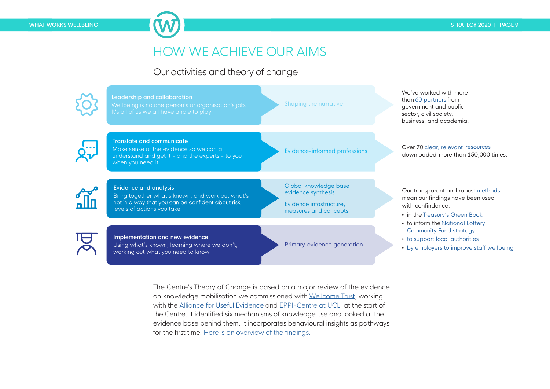# HOW WE ACHIEVE OUR AIMS

### Our activities and theory of change



The Centre's Theory of Change is based on a major review of the evidence on knowledge mobilisation we commissioned with Wellcome Trust, working with the Alliance for Useful Evidence and EPPI-Centre at UCL, at the start of the Centre. It identified six mechanisms of knowledge use and looked at the evidence base behind them. It incorporates behavioural insights as pathways for the first time. Here is an overview of the findings.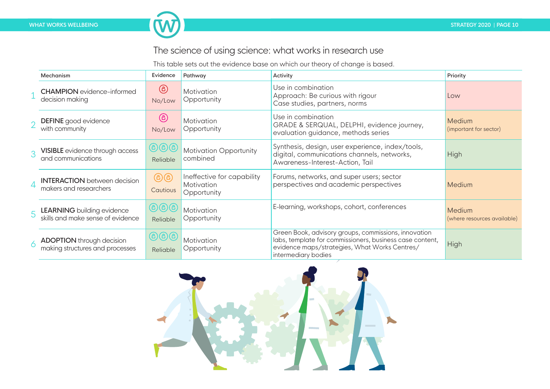# The science of using science: what works in research use

This table sets out the evidence base on which our theory of change is based.

|                | Mechanism                                                              | Evidence                                     | Pathway                                                 | Activity                                                                                                                                                                                 | Priority                              |
|----------------|------------------------------------------------------------------------|----------------------------------------------|---------------------------------------------------------|------------------------------------------------------------------------------------------------------------------------------------------------------------------------------------------|---------------------------------------|
|                | <b>CHAMPION</b> evidence-informed<br>decision making                   | $^\copyright$<br>No/Low                      | Motivation<br>Opportunity                               | Use in combination<br>Approach: Be curious with rigour<br>Case studies, partners, norms                                                                                                  | Low                                   |
|                | <b>DEFINE</b> good evidence<br>with community                          | $^\copyright$<br>No/Low                      | Motivation<br>Opportunity                               | Use in combination<br>GRADE & SERQUAL, DELPHI, evidence journey,<br>evaluation guidance, methods series                                                                                  | Medium<br>(important for sector)      |
| 3              | VISIBLE evidence through access<br>and communications                  | $\bigcirc$ $\bigcirc$ $\bigcirc$<br>Reliable | <b>Motivation Opportunity</b><br>combined               | Synthesis, design, user experience, index/tools,<br>digital, communications channels, networks,<br>Awareness-Interest-Action, Tail                                                       | High                                  |
| $\overline{4}$ | <b>INTERACTION</b> between decision<br>makers and researchers          | டுடு<br>Cautious                             | Ineffective for capability<br>Motivation<br>Opportunity | Forums, networks, and super users; sector<br>perspectives and academic perspectives                                                                                                      | Medium                                |
| 5              | <b>LEARNING</b> building evidence<br>skills and make sense of evidence | $\bigcirc$ $\bigcirc$ $\bigcirc$<br>Reliable | Motivation<br>Opportunity                               | E-learning, workshops, cohort, conferences                                                                                                                                               | Medium<br>(where resources available) |
| 6              | <b>ADOPTION</b> through decision<br>making structures and processes    | $\bigcirc$ $\bigcirc$ $\bigcirc$<br>Reliable | Motivation<br>Opportunity                               | Green Book, advisory groups, commissions, innovation<br>labs, template for commissioners, business case content,<br>evidence maps/strategies, What Works Centres/<br>intermediary bodies | <b>High</b>                           |

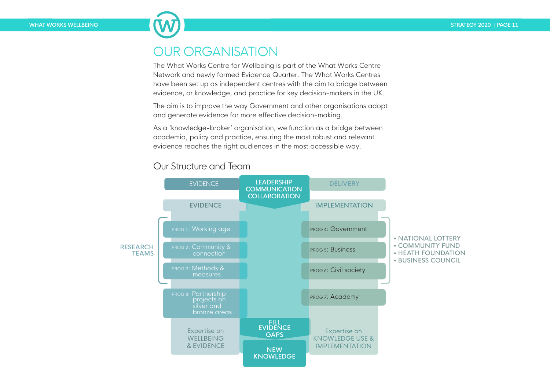# OUR ORGANISATION

The What Works Centre for Wellbeing is part of the What Works Centre Network and newly formed Evidence Quarter. The What Works Centres have been set up as independent centres with the aim to bridge between evidence, or knowledge, and practice for key decision-makers in the UK.

The aim is to improve the way Government and other organisations adopt and generate evidence for more effective decision-making.

As a 'knowledge-broker' organisation, we function as a bridge between academia, policy and practice, ensuring the most robust and relevant evidence reaches the right audiences in the most accessible way.

### Our Structure and Team

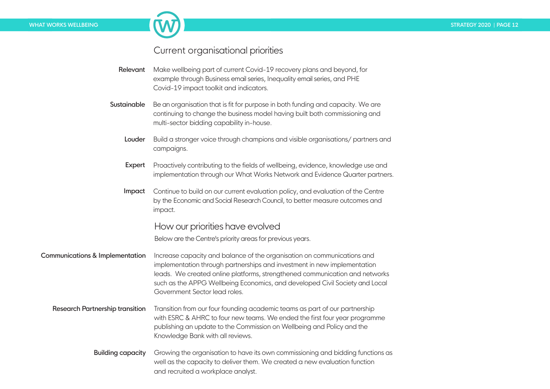### Current organisational priorities

- Relevant Make wellbeing part of current Covid-19 recovery plans and beyond, for example through Business email series, Inequality email series, and PHE Covid-19 impact toolkit and indicators.
- Sustainable Be an organisation that is fit for purpose in both funding and capacity. We are continuing to change the business model having built both commissioning and multi-sector bidding capability in-house.
	- Louder Build a stronger voice through champions and visible organisations/ partners and campaigns.
	- Expert Proactively contributing to the fields of wellbeing, evidence, knowledge use and implementation through our What Works Network and Evidence Quarter partners.
	- Impact Continue to build on our current evaluation policy, and evaluation of the Centre by the Economic and Social Research Council, to better measure outcomes and impact.

### How our priorities have evolved

Below are the Centre's priority areas for previous years.

- Communications & Implementation Increase capacity and balance of the organisation on communications and implementation through partnerships and investment in new implementation leads. We created online platforms, strengthened communication and networks such as the APPG Wellbeing Economics, and developed Civil Society and Local Government Sector lead roles.
	- Research Partnership transition Transition from our four founding academic teams as part of our partnership with ESRC & AHRC to four new teams. We ended the first four year programme publishing an update to the Commission on Wellbeing and Policy and the Knowledge Bank with all reviews.
		- Building capacity Growing the organisation to have its own commissioning and bidding functions as well as the capacity to deliver them. We created a new evaluation function and recruited a workplace analyst.